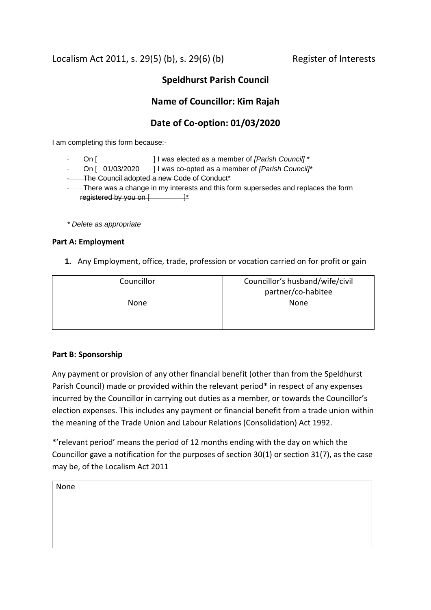Localism Act 2011, s. 29(5) (b), s. 29(6) (b) Register of Interests

# **Speldhurst Parish Council**

## **Name of Councillor: Kim Rajah**

# **Date of Co-option: 01/03/2020**

I am completing this form because:-

| ۱n.                                                                               | H was elected as a member of <i>[Parish Council]</i> * |  |  |
|-----------------------------------------------------------------------------------|--------------------------------------------------------|--|--|
| On [ 01/03/2020                                                                   | I I was co-opted as a member of [Parish Council]*      |  |  |
| The Council adopted a new Code of Conduct*                                        |                                                        |  |  |
| There was a change in my interests and this form supersedes and replaces the form |                                                        |  |  |
| registered by you on [                                                            |                                                        |  |  |
|                                                                                   |                                                        |  |  |

*\* Delete as appropriate*

#### **Part A: Employment**

**1.** Any Employment, office, trade, profession or vocation carried on for profit or gain

| Councillor | Councillor's husband/wife/civil |
|------------|---------------------------------|
|            | partner/co-habitee              |
| None       | None                            |
|            |                                 |

#### **Part B: Sponsorship**

Any payment or provision of any other financial benefit (other than from the Speldhurst Parish Council) made or provided within the relevant period\* in respect of any expenses incurred by the Councillor in carrying out duties as a member, or towards the Councillor's election expenses. This includes any payment or financial benefit from a trade union within the meaning of the Trade Union and Labour Relations (Consolidation) Act 1992.

\*'relevant period' means the period of 12 months ending with the day on which the Councillor gave a notification for the purposes of section 30(1) or section 31(7), as the case may be, of the Localism Act 2011

None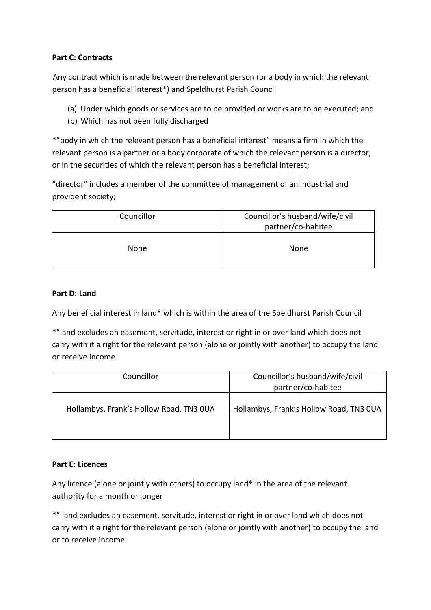## **Part C: Contracts**

 Any contract which is made between the relevant person (or a body in which the relevant person has a beneficial interest\*) and Speldhurst Parish Council

- (a) Under which goods or services are to be provided or works are to be executed; and
- (b) Which has not been fully discharged

\*"body in which the relevant person has a beneficial interest" means a firm in which the relevant person is a partner or a body corporate of which the relevant person is a director, or in the securities of which the relevant person has a beneficial interest;

"director" includes a member of the committee of management of an industrial and provident society;

| Councillor | Councillor's husband/wife/civil<br>partner/co-habitee |
|------------|-------------------------------------------------------|
| None       | None                                                  |

#### **Part D: Land**

Any beneficial interest in land\* which is within the area of the Speldhurst Parish Council

\*"land excludes an easement, servitude, interest or right in or over land which does not carry with it a right for the relevant person (alone or jointly with another) to occupy the land or receive income

| Councillor                              | Councillor's husband/wife/civil<br>partner/co-habitee |
|-----------------------------------------|-------------------------------------------------------|
| Hollambys, Frank's Hollow Road, TN3 OUA | Hollambys, Frank's Hollow Road, TN3 OUA               |

### **Part E: Licences**

Any licence (alone or jointly with others) to occupy land\* in the area of the relevant authority for a month or longer

\*" land excludes an easement, servitude, interest or right in or over land which does not carry with it a right for the relevant person (alone or jointly with another) to occupy the land or to receive income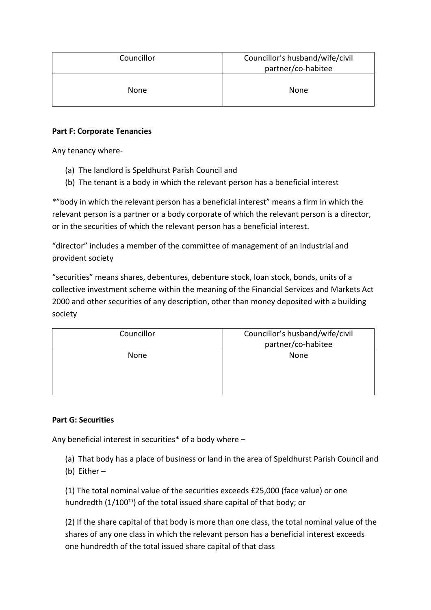| Councillor | Councillor's husband/wife/civil<br>partner/co-habitee |
|------------|-------------------------------------------------------|
| None       | None                                                  |

### **Part F: Corporate Tenancies**

Any tenancy where-

- (a) The landlord is Speldhurst Parish Council and
- (b) The tenant is a body in which the relevant person has a beneficial interest

\*"body in which the relevant person has a beneficial interest" means a firm in which the relevant person is a partner or a body corporate of which the relevant person is a director, or in the securities of which the relevant person has a beneficial interest.

"director" includes a member of the committee of management of an industrial and provident society

"securities" means shares, debentures, debenture stock, loan stock, bonds, units of a collective investment scheme within the meaning of the Financial Services and Markets Act 2000 and other securities of any description, other than money deposited with a building society

| Councillor | Councillor's husband/wife/civil |
|------------|---------------------------------|
|            | partner/co-habitee              |
| None       | None                            |
|            |                                 |
|            |                                 |
|            |                                 |

### **Part G: Securities**

Any beneficial interest in securities\* of a body where –

(a) That body has a place of business or land in the area of Speldhurst Parish Council and

(b) Either –

(1) The total nominal value of the securities exceeds £25,000 (face value) or one hundredth (1/100<sup>th</sup>) of the total issued share capital of that body; or

(2) If the share capital of that body is more than one class, the total nominal value of the shares of any one class in which the relevant person has a beneficial interest exceeds one hundredth of the total issued share capital of that class